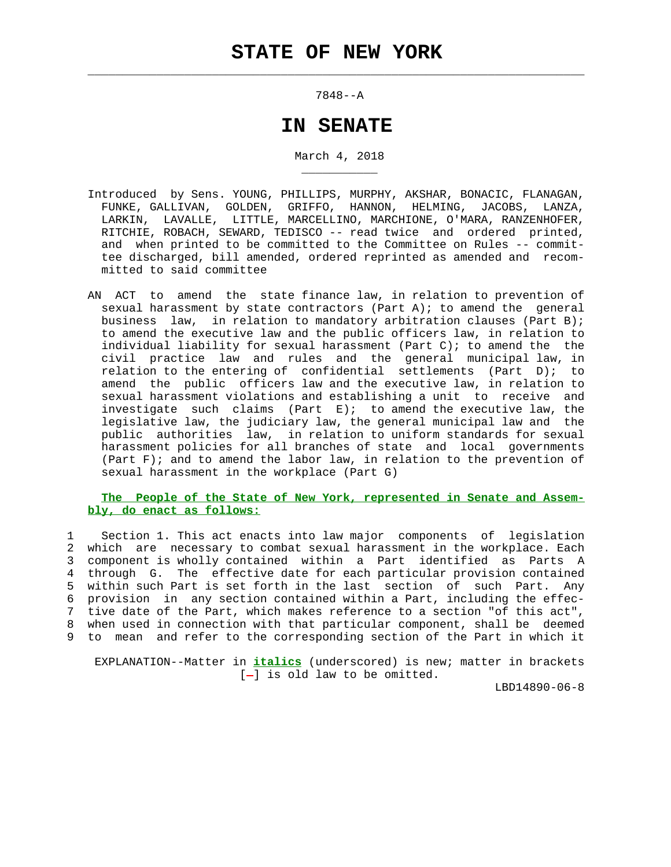$\mathcal{L}_\text{max} = \frac{1}{2} \sum_{i=1}^{n} \frac{1}{2} \sum_{i=1}^{n} \frac{1}{2} \sum_{i=1}^{n} \frac{1}{2} \sum_{i=1}^{n} \frac{1}{2} \sum_{i=1}^{n} \frac{1}{2} \sum_{i=1}^{n} \frac{1}{2} \sum_{i=1}^{n} \frac{1}{2} \sum_{i=1}^{n} \frac{1}{2} \sum_{i=1}^{n} \frac{1}{2} \sum_{i=1}^{n} \frac{1}{2} \sum_{i=1}^{n} \frac{1}{2} \sum_{i=1}^{n} \frac{1$ 

\_\_\_\_\_\_\_\_\_\_\_

7848--A

## **IN SENATE**

March 4, 2018

- Introduced by Sens. YOUNG, PHILLIPS, MURPHY, AKSHAR, BONACIC, FLANAGAN, FUNKE, GALLIVAN, GOLDEN, GRIFFO, HANNON, HELMING, JACOBS, LANZA, LARKIN, LAVALLE, LITTLE, MARCELLINO, MARCHIONE, O'MARA, RANZENHOFER, RITCHIE, ROBACH, SEWARD, TEDISCO -- read twice and ordered printed, and when printed to be committed to the Committee on Rules -- commit tee discharged, bill amended, ordered reprinted as amended and recom mitted to said committee
- AN ACT to amend the state finance law, in relation to prevention of sexual harassment by state contractors (Part A); to amend the general business law, in relation to mandatory arbitration clauses (Part B); to amend the executive law and the public officers law, in relation to individual liability for sexual harassment (Part C); to amend the the civil practice law and rules and the general municipal law, in relation to the entering of confidential settlements (Part D); to amend the public officers law and the executive law, in relation to sexual harassment violations and establishing a unit to receive and investigate such claims (Part E); to amend the executive law, the legislative law, the judiciary law, the general municipal law and the public authorities law, in relation to uniform standards for sexual harassment policies for all branches of state and local governments (Part  $F$ ); and to amend the labor law, in relation to the prevention of sexual harassment in the workplace (Part G)

## **The People of the State of New York, represented in Senate and Assem bly, do enact as follows:**

 1 Section 1. This act enacts into law major components of legislation 2 which are necessary to combat sexual harassment in the workplace. Each 3 component is wholly contained within a Part identified as Parts A 4 through G. The effective date for each particular provision contained 5 within such Part is set forth in the last section of such Part. Any 6 provision in any section contained within a Part, including the effec- 7 tive date of the Part, which makes reference to a section "of this act", 8 when used in connection with that particular component, shall be deemed 9 to mean and refer to the corresponding section of the Part in which it

 EXPLANATION--Matter in **italics** (underscored) is new; matter in brackets  $[-]$  is old law to be omitted.

LBD14890-06-8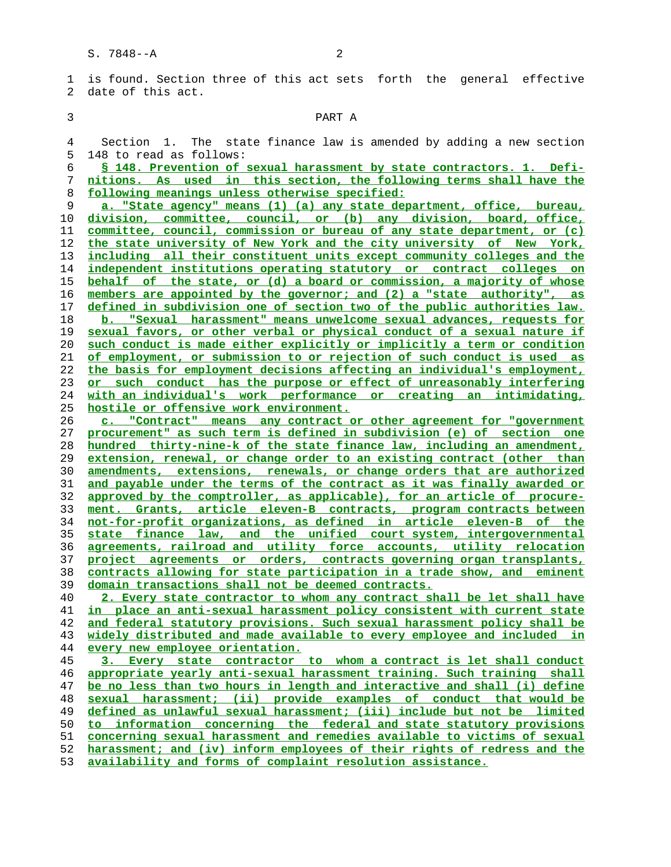1 is found. Section three of this act sets forth the general effective 2 date of this act.

## 3 PART A

 4 Section 1. The state finance law is amended by adding a new section 5 148 to read as follows:

**§ 148. Prevention of sexual harassment by state contractors. 1. Defi- nitions. As used in this section, the following terms shall have the following meanings unless otherwise specified:**

**a. "State agency" means (1) (a) any state department, office, bureau, division, committee, council, or (b) any division, board, office, committee, council, commission or bureau of any state department, or (c) the state university of New York and the city university of New York, including all their constituent units except community colleges and the independent institutions operating statutory or contract colleges on behalf of the state, or (d) a board or commission, a majority of whose members are appointed by the governor; and (2) a "state authority", as defined in subdivision one of section two of the public authorities law. b. "Sexual harassment" means unwelcome sexual advances, requests for sexual favors, or other verbal or physical conduct of a sexual nature if such conduct is made either explicitly or implicitly a term or condition of employment, or submission to or rejection of such conduct is used as the basis for employment decisions affecting an individual's employment, or such conduct has the purpose or effect of unreasonably interfering with an individual's work performance or creating an intimidating, hostile or offensive work environment.**

**c. "Contract" means any contract or other agreement for "government procurement" as such term is defined in subdivision (e) of section one hundred thirty-nine-k of the state finance law, including an amendment, extension, renewal, or change order to an existing contract (other than amendments, extensions, renewals, or change orders that are authorized and payable under the terms of the contract as it was finally awarded or approved by the comptroller, as applicable), for an article of procure- ment. Grants, article eleven-B contracts, program contracts between not-for-profit organizations, as defined in article eleven-B of the state finance law, and the unified court system, intergovernmental agreements, railroad and utility force accounts, utility relocation project agreements or orders, contracts governing organ transplants, contracts allowing for state participation in a trade show, and eminent domain transactions shall not be deemed contracts.**

**2. Every state contractor to whom any contract shall be let shall have in place an anti-sexual harassment policy consistent with current state and federal statutory provisions. Such sexual harassment policy shall be widely distributed and made available to every employee and included in every new employee orientation.**

**3. Every state contractor to whom a contract is let shall conduct appropriate yearly anti-sexual harassment training. Such training shall be no less than two hours in length and interactive and shall (i) define sexual harassment; (ii) provide examples of conduct that would be defined as unlawful sexual harassment; (iii) include but not be limited to information concerning the federal and state statutory provisions concerning sexual harassment and remedies available to victims of sexual harassment; and (iv) inform employees of their rights of redress and the**

**availability and forms of complaint resolution assistance.**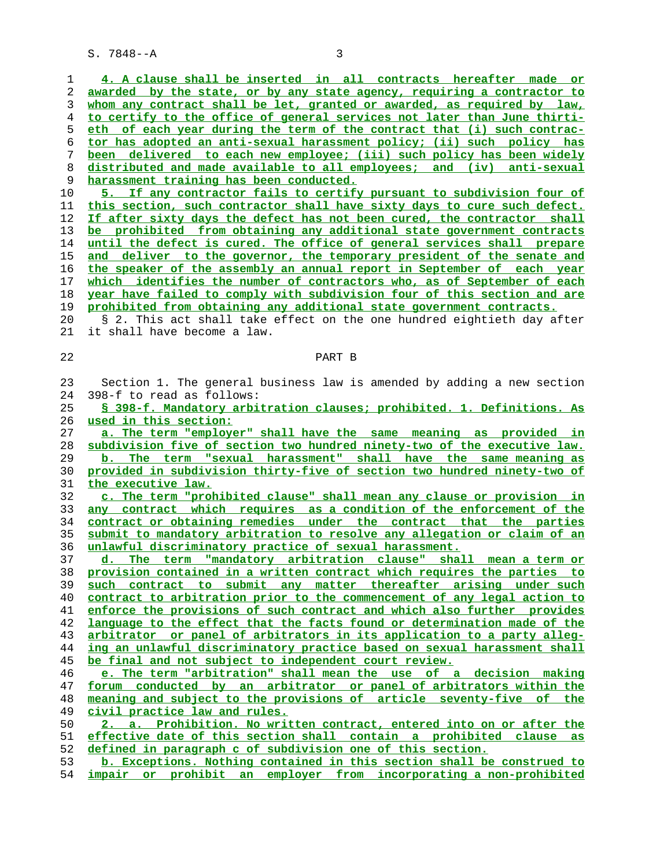| 1<br>2   |                                                                                                                                              |
|----------|----------------------------------------------------------------------------------------------------------------------------------------------|
|          | 4. A clause shall be inserted in all contracts hereafter made or                                                                             |
|          | awarded by the state, or by any state agency, requiring a contractor to                                                                      |
| 3        | whom any contract shall be let, granted or awarded, as required by law,                                                                      |
| 4        | to certify to the office of general services not later than June thirti-                                                                     |
| 5        | eth of each year during the term of the contract that (i) such contrac-                                                                      |
| 6        | tor has adopted an anti-sexual harassment policy; (ii) such policy has                                                                       |
| 7        | been delivered to each new employee; (iii) such policy has been widely                                                                       |
| 8        | distributed and made available to all employees; and (iv) anti-sexual                                                                        |
| 9        | harassment training has been conducted.                                                                                                      |
| 10       | 5. If any contractor fails to certify pursuant to subdivision four of                                                                        |
| 11       | this section, such contractor shall have sixty days to cure such defect.                                                                     |
| 12       | If after sixty days the defect has not been cured, the contractor shall                                                                      |
| 13       | be prohibited from obtaining any additional state government contracts                                                                       |
| 14       | until the defect is cured. The office of general services shall prepare                                                                      |
| 15       | and deliver to the governor, the temporary president of the senate and                                                                       |
| 16       | the speaker of the assembly an annual report in September of each year                                                                       |
| 17       | which identifies the number of contractors who, as of September of each                                                                      |
| 18       | year have failed to comply with subdivision four of this section and are                                                                     |
| 19       | prohibited from obtaining any additional state government contracts.                                                                         |
| 20       | § 2. This act shall take effect on the one hundred eightieth day after                                                                       |
| 21       | it shall have become a law.                                                                                                                  |
|          |                                                                                                                                              |
| 22       | PART B                                                                                                                                       |
|          |                                                                                                                                              |
| 23       | Section 1. The general business law is amended by adding a new section                                                                       |
| 24       | 398-f to read as follows:                                                                                                                    |
| 25       | § 398-f. Mandatory arbitration clauses; prohibited. 1. Definitions. As                                                                       |
| 26       | used in this section:                                                                                                                        |
| 27       |                                                                                                                                              |
|          | a. The term "employer" shall have the same meaning as provided in                                                                            |
| 28       | subdivision five of section two hundred ninety-two of the executive law.                                                                     |
| 29       | b. The term "sexual harassment" shall have the same meaning as                                                                               |
| 30       |                                                                                                                                              |
|          | provided in subdivision thirty-five of section two hundred ninety-two of                                                                     |
| 31       | <u>the executive law.</u>                                                                                                                    |
| 32       | c. The term "prohibited clause" shall mean any clause or provision in                                                                        |
| 33       | any contract which requires as a condition of the enforcement of the                                                                         |
| 34       | contract or obtaining remedies under the contract that the parties                                                                           |
| 35       | submit to mandatory arbitration to resolve any allegation or claim of an                                                                     |
| 36       | unlawful discriminatory practice of sexual harassment.                                                                                       |
| 37       | The term "mandatory arbitration clause" shall mean a term or<br>d.                                                                           |
| 38       | provision contained in a written contract which requires the parties to                                                                      |
| 39       | such contract to submit any matter thereafter arising under such                                                                             |
| 40       | contract to arbitration prior to the commencement of any legal action to                                                                     |
| 41       | enforce the provisions of such contract and which also further provides                                                                      |
| 42       | language to the effect that the facts found or determination made of the                                                                     |
| 43       | arbitrator or panel of arbitrators in its application to a party alleg-                                                                      |
| 44       | ing an unlawful discriminatory practice based on sexual harassment shall                                                                     |
| 45       | be final and not subject to independent court review.                                                                                        |
| 46       | e. The term "arbitration" shall mean the use of a decision making                                                                            |
| 47       | forum conducted by an arbitrator or panel of arbitrators within the                                                                          |
| 48       | meaning and subject to the provisions of article seventy-five of the                                                                         |
| 49       | civil practice law and rules.                                                                                                                |
| 50       | 2. a. Prohibition. No written contract, entered into on or after the                                                                         |
| 51       | effective date of this section shall contain a prohibited clause as                                                                          |
| 52       | defined in paragraph c of subdivision one of this section.                                                                                   |
| 53<br>54 | b. Exceptions. Nothing contained in this section shall be construed to<br>impair or prohibit an employer from incorporating a non-prohibited |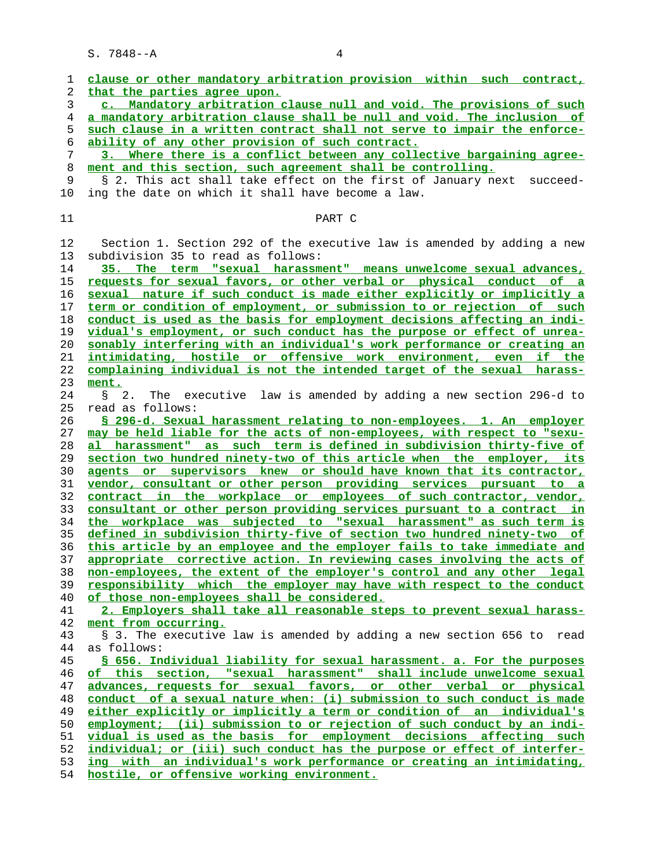**clause or other mandatory arbitration provision within such contract, that the parties agree upon. c. Mandatory arbitration clause null and void. The provisions of such a mandatory arbitration clause shall be null and void. The inclusion of such clause in a written contract shall not serve to impair the enforce- ability of any other provision of such contract. 3. Where there is a conflict between any collective bargaining agree- ment and this section, such agreement shall be controlling.** § 2. This act shall take effect on the first of January next succeed- 10 ing the date on which it shall have become a law. 11 PART C 12 Section 1. Section 292 of the executive law is amended by adding a new 13 subdivision 35 to read as follows: **35. The term "sexual harassment" means unwelcome sexual advances, requests for sexual favors, or other verbal or physical conduct of a sexual nature if such conduct is made either explicitly or implicitly a term or condition of employment, or submission to or rejection of such conduct is used as the basis for employment decisions affecting an indi- vidual's employment, or such conduct has the purpose or effect of unrea- sonably interfering with an individual's work performance or creating an intimidating, hostile or offensive work environment, even if the complaining individual is not the intended target of the sexual harass- ment.** 24 § 2. The executive law is amended by adding a new section 296-d to 25 read as follows: **§ 296-d. Sexual harassment relating to non-employees. 1. An employer may be held liable for the acts of non-employees, with respect to "sexu- al harassment" as such term is defined in subdivision thirty-five of section two hundred ninety-two of this article when the employer, its agents or supervisors knew or should have known that its contractor, vendor, consultant or other person providing services pursuant to a contract in the workplace or employees of such contractor, vendor, consultant or other person providing services pursuant to a contract in the workplace was subjected to "sexual harassment" as such term is defined in subdivision thirty-five of section two hundred ninety-two of this article by an employee and the employer fails to take immediate and appropriate corrective action. In reviewing cases involving the acts of non-employees, the extent of the employer's control and any other legal responsibility which the employer may have with respect to the conduct of those non-employees shall be considered. 2. Employers shall take all reasonable steps to prevent sexual harass- ment from occurring.** 43 § 3. The executive law is amended by adding a new section 656 to read 44 as follows: **§ 656. Individual liability for sexual harassment. a. For the purposes of this section, "sexual harassment" shall include unwelcome sexual advances, requests for sexual favors, or other verbal or physical conduct of a sexual nature when: (i) submission to such conduct is made either explicitly or implicitly a term or condition of an individual's employment; (ii) submission to or rejection of such conduct by an indi- vidual is used as the basis for employment decisions affecting such** individual; or (iii) such conduct has the purpose or effect of interfer-**ing with an individual's work performance or creating an intimidating,**

**hostile, or offensive working environment.**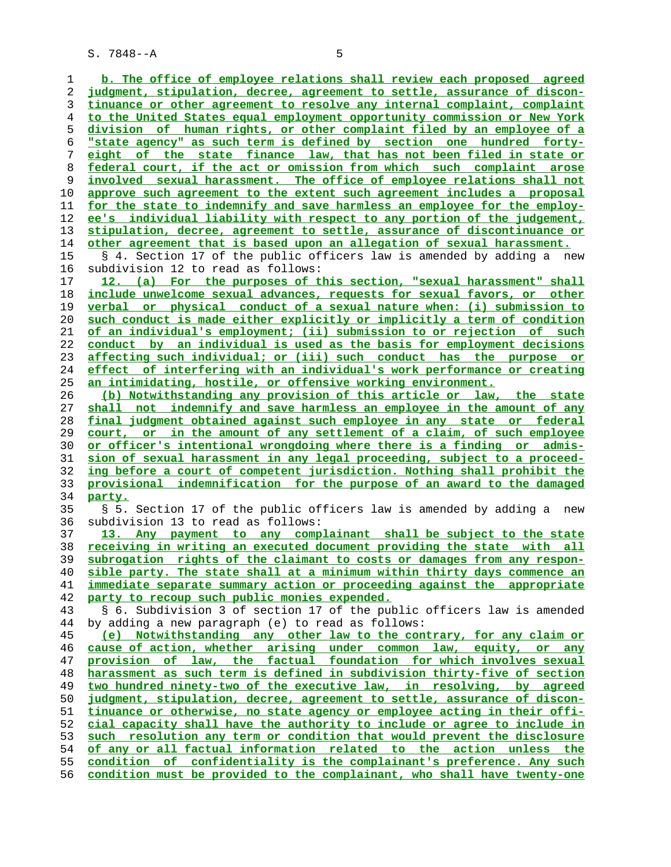**b. The office of employee relations shall review each proposed agreed judgment, stipulation, decree, agreement to settle, assurance of discon- tinuance or other agreement to resolve any internal complaint, complaint to the United States equal employment opportunity commission or New York division of human rights, or other complaint filed by an employee of a "state agency" as such term is defined by section one hundred forty- eight of the state finance law, that has not been filed in state or federal court, if the act or omission from which such complaint arose involved sexual harassment. The office of employee relations shall not approve such agreement to the extent such agreement includes a proposal for the state to indemnify and save harmless an employee for the employ- ee's individual liability with respect to any portion of the judgement, stipulation, decree, agreement to settle, assurance of discontinuance or other agreement that is based upon an allegation of sexual harassment.** 15 § 4. Section 17 of the public officers law is amended by adding a new 16 subdivision 12 to read as follows: **12. (a) For the purposes of this section, "sexual harassment" shall include unwelcome sexual advances, requests for sexual favors, or other verbal or physical conduct of a sexual nature when: (i) submission to such conduct is made either explicitly or implicitly a term of condition of an individual's employment; (ii) submission to or rejection of such conduct by an individual is used as the basis for employment decisions affecting such individual; or (iii) such conduct has the purpose or effect of interfering with an individual's work performance or creating an intimidating, hostile, or offensive working environment. (b) Notwithstanding any provision of this article or law, the state shall not indemnify and save harmless an employee in the amount of any final judgment obtained against such employee in any state or federal court, or in the amount of any settlement of a claim, of such employee or officer's intentional wrongdoing where there is a finding or admis- sion of sexual harassment in any legal proceeding, subject to a proceed- ing before a court of competent jurisdiction. Nothing shall prohibit the provisional indemnification for the purpose of an award to the damaged party.** 35 § 5. Section 17 of the public officers law is amended by adding a new 36 subdivision 13 to read as follows: **13. Any payment to any complainant shall be subject to the state receiving in writing an executed document providing the state with all subrogation rights of the claimant to costs or damages from any respon- sible party. The state shall at a minimum within thirty days commence an immediate separate summary action or proceeding against the appropriate party to recoup such public monies expended.** 43 § 6. Subdivision 3 of section 17 of the public officers law is amended 44 by adding a new paragraph (e) to read as follows: **(e) Notwithstanding any other law to the contrary, for any claim or cause of action, whether arising under common law, equity, or any provision of law, the factual foundation for which involves sexual harassment as such term is defined in subdivision thirty-five of section two hundred ninety-two of the executive law, in resolving, by agreed judgment, stipulation, decree, agreement to settle, assurance of discon- tinuance or otherwise, no state agency or employee acting in their offi- cial capacity shall have the authority to include or agree to include in such resolution any term or condition that would prevent the disclosure of any or all factual information related to the action unless the condition of confidentiality is the complainant's preference. Any such condition must be provided to the complainant, who shall have twenty-one**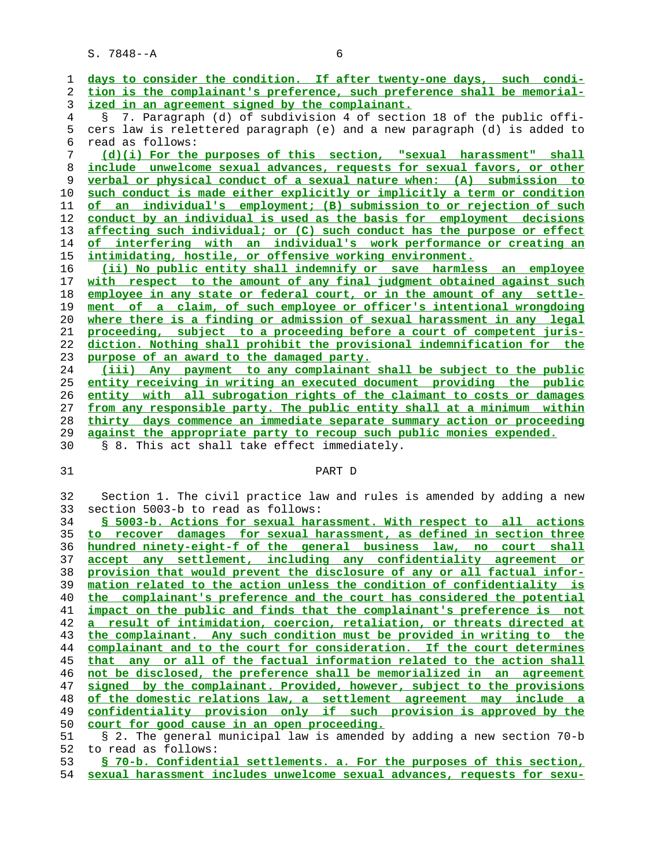| 1              | days to consider the condition. If after twenty-one days, such condi-                                                                         |
|----------------|-----------------------------------------------------------------------------------------------------------------------------------------------|
| 2              | tion is the complainant's preference, such preference shall be memorial-                                                                      |
| 3              | ized in an agreement signed by the complainant.                                                                                               |
| $\overline{4}$ | § 7. Paragraph (d) of subdivision 4 of section 18 of the public offi-                                                                         |
| 5              | cers law is relettered paragraph (e) and a new paragraph (d) is added to                                                                      |
| 6              | read as follows:                                                                                                                              |
| 7              | (d)(i) For the purposes of this section, "sexual harassment" shall                                                                            |
| 8              | include unwelcome sexual advances, requests for sexual favors, or other                                                                       |
| 9              | verbal or physical conduct of a sexual nature when: (A) submission to                                                                         |
| 10             | such conduct is made either explicitly or implicitly a term or condition                                                                      |
| 11             | of an individual's employment; (B) submission to or rejection of such                                                                         |
| 12             | conduct by an individual is used as the basis for employment decisions                                                                        |
| 13             | affecting such individual; or (C) such conduct has the purpose or effect                                                                      |
| 14             | of interfering with an individual's work performance or creating an                                                                           |
| 15             | intimidating, hostile, or offensive working environment.                                                                                      |
| 16             | (ii) No public entity shall indemnify or save harmless an employee                                                                            |
| 17             | with respect to the amount of any final judgment obtained against such                                                                        |
| 18             | employee in any state or federal court, or in the amount of any settle-                                                                       |
| 19             | ment of a claim, of such employee or officer's intentional wrongdoing                                                                         |
| 20             | where there is a finding or admission of sexual harassment in any legal                                                                       |
| 21             | proceeding, subject to a proceeding before a court of competent juris-                                                                        |
| 22             | diction. Nothing shall prohibit the provisional indemnification for the                                                                       |
| 23             | purpose of an award to the damaged party.                                                                                                     |
| 24             | (iii) Any payment to any complainant shall be subject to the public                                                                           |
| 25             | entity receiving in writing an executed document providing the public                                                                         |
| 26             | entity with all subrogation rights of the claimant to costs or damages                                                                        |
| 27             | from any responsible party. The public entity shall at a minimum within                                                                       |
|                |                                                                                                                                               |
|                |                                                                                                                                               |
| 28             | thirty days commence an immediate separate summary action or proceeding                                                                       |
| 29             | against the appropriate party to recoup such public monies expended.                                                                          |
| 30             | § 8. This act shall take effect immediately.                                                                                                  |
|                | PART D                                                                                                                                        |
| 31             |                                                                                                                                               |
| 32             | Section 1. The civil practice law and rules is amended by adding a new                                                                        |
| 33             | section 5003-b to read as follows:                                                                                                            |
| 34             | § 5003-b. Actions for sexual harassment. With respect to all actions                                                                          |
| 35             | to recover damages for sexual harassment, as defined in section three                                                                         |
| 36             | hundred ninety-eight-f of the general business law, no court shall                                                                            |
| 37             |                                                                                                                                               |
| 38             | accept any settlement, including any confidentiality agreement or<br>provision that would prevent the disclosure of any or all factual infor- |
| 39             | mation related to the action unless the condition of confidentiality is                                                                       |
| 40             | the complainant's preference and the court has considered the potential                                                                       |
| 41             | impact on the public and finds that the complainant's preference is not                                                                       |
| 42             | a result of intimidation, coercion, retaliation, or threats directed at                                                                       |
| 43             | the complainant. Any such condition must be provided in writing to the                                                                        |
| 44             | complainant and to the court for consideration. If the court determines                                                                       |
| 45             | that any or all of the factual information related to the action shall                                                                        |
| 46             | not be disclosed, the preference shall be memorialized in an agreement                                                                        |
| 47             | signed by the complainant. Provided, however, subject to the provisions                                                                       |
| 48             | of the domestic relations law, a settlement agreement may include a                                                                           |
| 49             | confidentiality provision only if such provision is approved by the                                                                           |
| 50             | court for good cause in an open proceeding.                                                                                                   |
| 51             | § 2. The general municipal law is amended by adding a new section 70-b                                                                        |
| 52             | to read as follows:<br>§ 70-b. Confidential settlements. a. For the purposes of this section,                                                 |

**sexual harassment includes unwelcome sexual advances, requests for sexu-**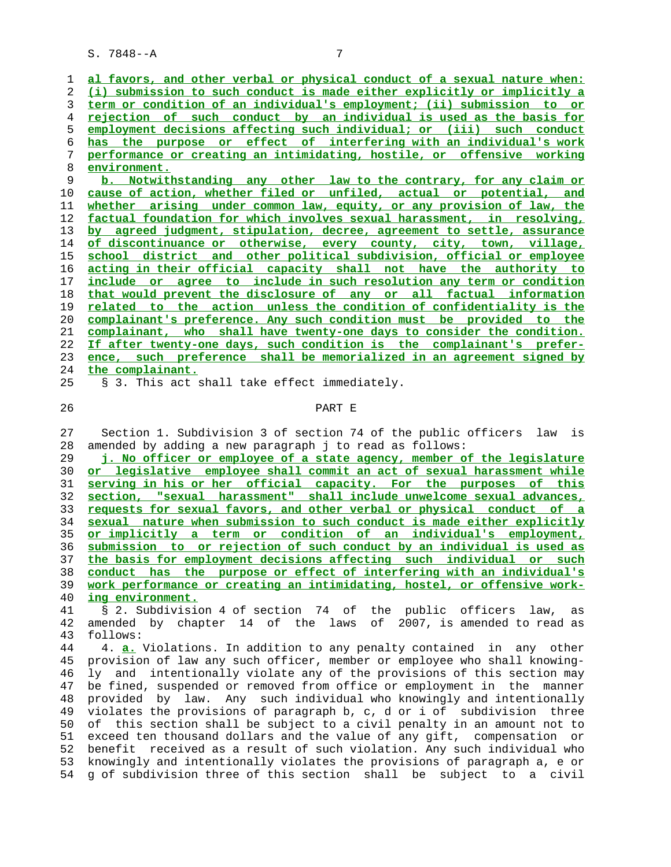**al favors, and other verbal or physical conduct of a sexual nature when: (i) submission to such conduct is made either explicitly or implicitly a term or condition of an individual's employment; (ii) submission to or rejection of such conduct by an individual is used as the basis for employment decisions affecting such individual; or (iii) such conduct has the purpose or effect of interfering with an individual's work performance or creating an intimidating, hostile, or offensive working environment.**

**b. Notwithstanding any other law to the contrary, for any claim or cause of action, whether filed or unfiled, actual or potential, and whether arising under common law, equity, or any provision of law, the factual foundation for which involves sexual harassment, in resolving, by agreed judgment, stipulation, decree, agreement to settle, assurance of discontinuance or otherwise, every county, city, town, village, school district and other political subdivision, official or employee acting in their official capacity shall not have the authority to include or agree to include in such resolution any term or condition that would prevent the disclosure of any or all factual information related to the action unless the condition of confidentiality is the complainant's preference. Any such condition must be provided to the complainant, who shall have twenty-one days to consider the condition. If after twenty-one days, such condition is the complainant's prefer- ence, such preference shall be memorialized in an agreement signed by the complainant.**

25 § 3. This act shall take effect immediately.

## 26 PART E

 27 Section 1. Subdivision 3 of section 74 of the public officers law is 28 amended by adding a new paragraph j to read as follows:

**j. No officer or employee of a state agency, member of the legislature or legislative employee shall commit an act of sexual harassment while serving in his or her official capacity. For the purposes of this section, "sexual harassment" shall include unwelcome sexual advances, requests for sexual favors, and other verbal or physical conduct of a sexual nature when submission to such conduct is made either explicitly or implicitly a term or condition of an individual's employment, submission to or rejection of such conduct by an individual is used as the basis for employment decisions affecting such individual or such conduct has the purpose or effect of interfering with an individual's work performance or creating an intimidating, hostel, or offensive work- ing environment.**

 41 § 2. Subdivision 4 of section 74 of the public officers law, as 42 amended by chapter 14 of the laws of 2007, is amended to read as 43 follows:

 44 4. **a.** Violations. In addition to any penalty contained in any other 45 provision of law any such officer, member or employee who shall knowing- 46 ly and intentionally violate any of the provisions of this section may 47 be fined, suspended or removed from office or employment in the manner 48 provided by law. Any such individual who knowingly and intentionally 49 violates the provisions of paragraph b, c, d or i of subdivision three 50 of this section shall be subject to a civil penalty in an amount not to 51 exceed ten thousand dollars and the value of any gift, compensation or 52 benefit received as a result of such violation. Any such individual who 53 knowingly and intentionally violates the provisions of paragraph a, e or 54 g of subdivision three of this section shall be subject to a civil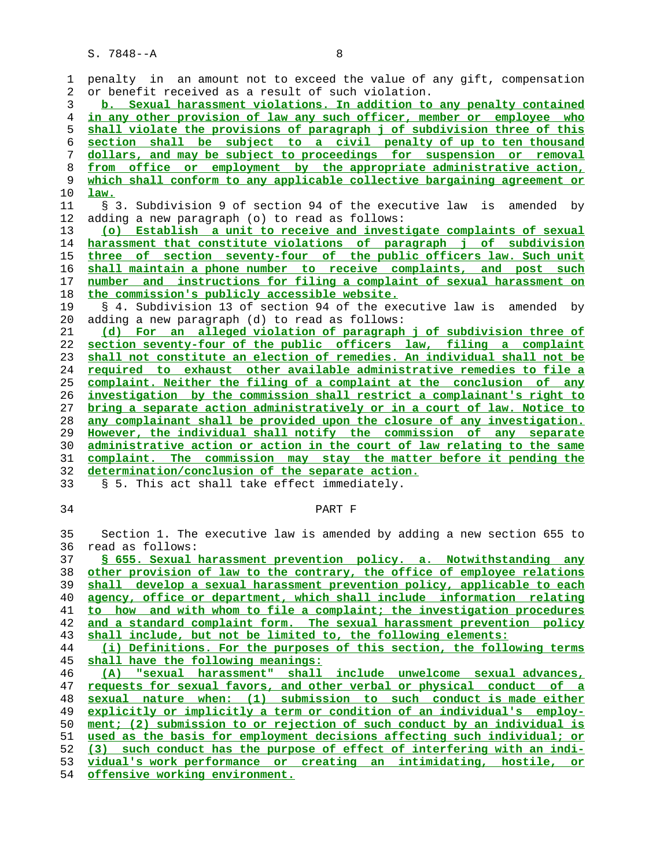| 1        | penalty in an amount not to exceed the value of any gift, compensation                               |
|----------|------------------------------------------------------------------------------------------------------|
| 2        | or benefit received as a result of such violation.                                                   |
| 3        | b. Sexual harassment violations. In addition to any penalty contained                                |
| 4        | in any other provision of law any such officer, member or employee who                               |
| 5        | shall violate the provisions of paragraph j of subdivision three of this                             |
| 6        | section shall be subject to a civil penalty of up to ten thousand                                    |
| 7        | dollars, and may be subject to proceedings for suspension or removal                                 |
| 8        | from office or employment by the appropriate administrative action,                                  |
| 9        | which shall conform to any applicable collective bargaining agreement or                             |
| 10       | law.                                                                                                 |
| 11       | § 3. Subdivision 9 of section 94 of the executive law is amended by                                  |
| 12       | adding a new paragraph (o) to read as follows:                                                       |
| 13       | (o) Establish a unit to receive and investigate complaints of sexual                                 |
| 14       | harassment that constitute violations of paragraph j of subdivision                                  |
| 15       | three of section seventy-four of the public officers law. Such unit                                  |
| 16       | shall maintain a phone number to receive complaints, and post such                                   |
| 17       | number and instructions for filing a complaint of sexual harassment on                               |
| 18       | the commission's publicly accessible website.                                                        |
| 19       | § 4. Subdivision 13 of section 94 of the executive law is amended by                                 |
| 20       | adding a new paragraph (d) to read as follows:                                                       |
| 21       | (d) For an alleged violation of paragraph j of subdivision three of                                  |
| 22       | section seventy-four of the public officers law, filing a complaint                                  |
| 23       | shall not constitute an election of remedies. An individual shall not be                             |
| 24       | required to exhaust other available administrative remedies to file a                                |
| 25       | complaint. Neither the filing of a complaint at the conclusion of any                                |
| 26       | investigation by the commission shall restrict a complainant's right to                              |
| 27       | bring a separate action administratively or in a court of law. Notice to                             |
| 28       | any complainant shall be provided upon the closure of any investigation.                             |
|          |                                                                                                      |
| 29       | However, the individual shall notify the commission of any separate                                  |
| 30       | administrative action or action in the court of law relating to the same                             |
| 31       | complaint. The commission may stay the matter before it pending the                                  |
| 32       | determination/conclusion of the separate action.                                                     |
| 33       | § 5. This act shall take effect immediately.                                                         |
|          |                                                                                                      |
| 34       | PART F                                                                                               |
|          |                                                                                                      |
| 35       | Section 1. The executive law is amended by adding a new section 655 to                               |
| 36       | read as follows:                                                                                     |
| 37       | § 655. Sexual harassment prevention policy. a. Notwithstanding<br>any                                |
| 38       | other provision of law to the contrary, the office of employee relations                             |
| 39       | shall develop a sexual harassment prevention policy, applicable to each                              |
| 40       | agency, office or department, which shall include information relating                               |
| 41       | to how and with whom to file a complaint; the investigation procedures                               |
| 42       | and a standard complaint form. The sexual harassment prevention policy                               |
| 43       | shall include, but not be limited to, the following elements:                                        |
| 44       | (i) Definitions. For the purposes of this section, the following terms                               |
| 45       | shall have the following meanings:                                                                   |
| 46       | "sexual harassment" shall include unwelcome sexual advances,<br>(A)                                  |
| 47       | requests for sexual favors, and other verbal or physical conduct of a                                |
| 48       | sexual nature when: (1) submission to such conduct is made either                                    |
| 49       | explicitly or implicitly a term or condition of an individual's employ-                              |
| 50       | ment; (2) submission to or rejection of such conduct by an individual is                             |
| 51       | used as the basis for employment decisions affecting such individual; or                             |
| 52       | (3) such conduct has the purpose of effect of interfering with an indi-                              |
| 53<br>54 | vidual's work performance or creating an intimidating, hostile, or<br>offensive working environment. |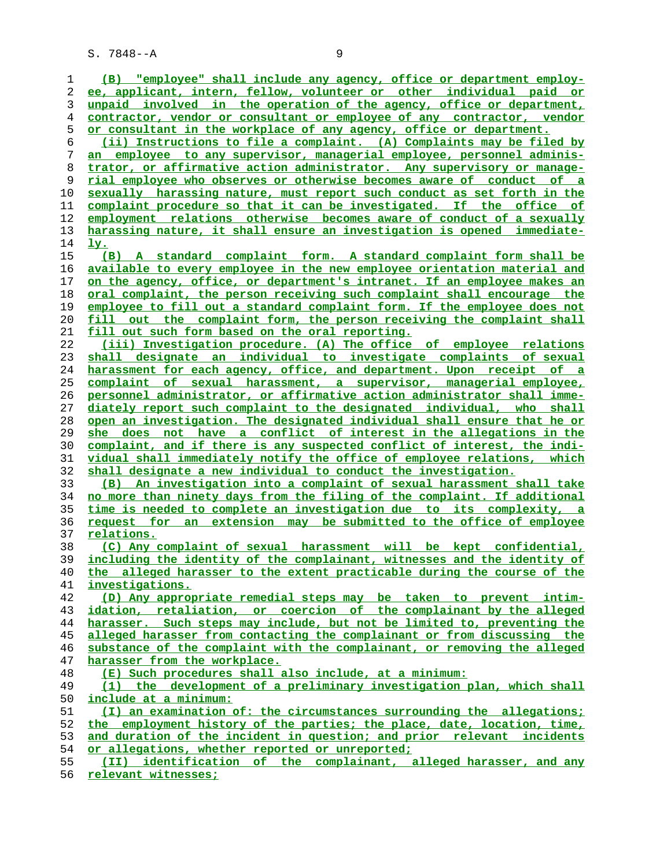**(B) "employee" shall include any agency, office or department employ- ee, applicant, intern, fellow, volunteer or other individual paid or unpaid involved in the operation of the agency, office or department, contractor, vendor or consultant or employee of any contractor, vendor or consultant in the workplace of any agency, office or department. (ii) Instructions to file a complaint. (A) Complaints may be filed by an employee to any supervisor, managerial employee, personnel adminis- trator, or affirmative action administrator. Any supervisory or manage- rial employee who observes or otherwise becomes aware of conduct of a sexually harassing nature, must report such conduct as set forth in the complaint procedure so that it can be investigated. If the office of employment relations otherwise becomes aware of conduct of a sexually harassing nature, it shall ensure an investigation is opened immediate- ly. (B) A standard complaint form. A standard complaint form shall be available to every employee in the new employee orientation material and on the agency, office, or department's intranet. If an employee makes an oral complaint, the person receiving such complaint shall encourage the employee to fill out a standard complaint form. If the employee does not fill out the complaint form, the person receiving the complaint shall fill out such form based on the oral reporting. (iii) Investigation procedure. (A) The office of employee relations shall designate an individual to investigate complaints of sexual harassment for each agency, office, and department. Upon receipt of a complaint of sexual harassment, a supervisor, managerial employee, personnel administrator, or affirmative action administrator shall imme- diately report such complaint to the designated individual, who shall open an investigation. The designated individual shall ensure that he or she does not have a conflict of interest in the allegations in the complaint, and if there is any suspected conflict of interest, the indi- vidual shall immediately notify the office of employee relations, which shall designate a new individual to conduct the investigation. (B) An investigation into a complaint of sexual harassment shall take no more than ninety days from the filing of the complaint. If additional time is needed to complete an investigation due to its complexity, a request for an extension may be submitted to the office of employee relations. (C) Any complaint of sexual harassment will be kept confidential, including the identity of the complainant, witnesses and the identity of the alleged harasser to the extent practicable during the course of the investigations. (D) Any appropriate remedial steps may be taken to prevent intim- idation, retaliation, or coercion of the complainant by the alleged harasser. Such steps may include, but not be limited to, preventing the alleged harasser from contacting the complainant or from discussing the substance of the complaint with the complainant, or removing the alleged harasser from the workplace. (E) Such procedures shall also include, at a minimum: (1) the development of a preliminary investigation plan, which shall include at a minimum: (I) an examination of: the circumstances surrounding the allegations; the employment history of the parties; the place, date, location, time, and duration of the incident in question; and prior relevant incidents or allegations, whether reported or unreported; (II) identification of the complainant, alleged harasser, and any relevant witnesses;**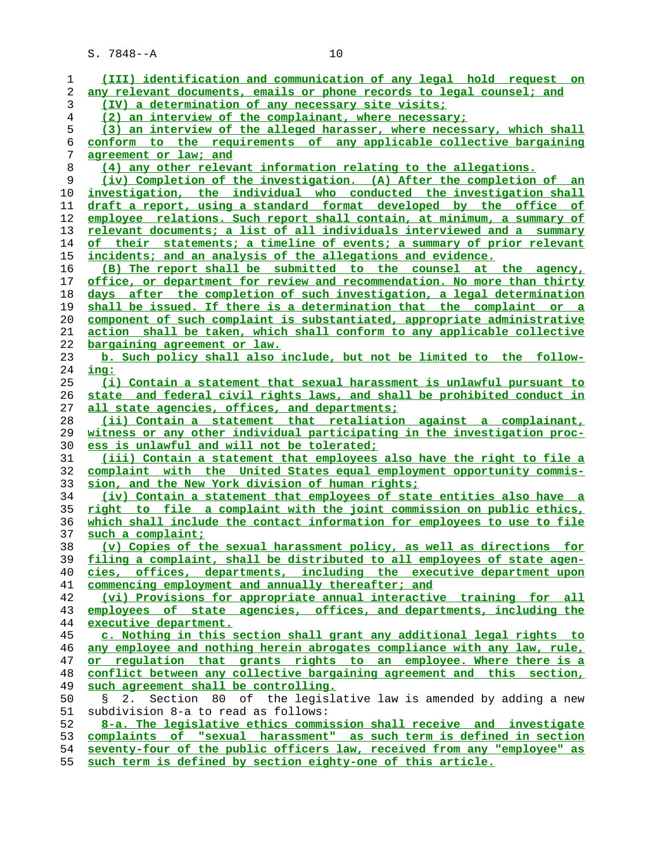| 1    | (III) identification and communication of any legal hold request on      |
|------|--------------------------------------------------------------------------|
| 2    | any relevant documents, emails or phone records to legal counsel; and    |
| 3    | (IV) a determination of any necessary site visits;                       |
| 4    | (2) an interview of the complainant, where necessary;                    |
| 5    | (3) an interview of the alleged harasser, where necessary, which shall   |
| 6    | conform to the requirements of any applicable collective bargaining      |
| 7    | agreement or law; and                                                    |
| 8    | (4) any other relevant information relating to the allegations.          |
| 9    | (iv) Completion of the investigation. (A) After the completion of an     |
| 10   | investigation, the individual who conducted the investigation shall      |
| 11   | draft a report, using a standard format developed by the office of       |
| 12   | employee relations. Such report shall contain, at minimum, a summary of  |
| 13   | relevant documents; a list of all individuals interviewed and a summary  |
| 14   | of their statements; a timeline of events; a summary of prior relevant   |
| 15   | incidents; and an analysis of the allegations and evidence.              |
| 16   | (B) The report shall be submitted to the counsel at the agency,          |
| 17   | office, or department for review and recommendation. No more than thirty |
| 18   | days after the completion of such investigation, a legal determination   |
| 19   | shall be issued. If there is a determination that the complaint or a     |
| 20   | component of such complaint is substantiated, appropriate administrative |
| 21   | action shall be taken, which shall conform to any applicable collective  |
| 22   | bargaining agreement or law.                                             |
| 23   | b. Such policy shall also include, but not be limited to the follow-     |
| 24   | <u>ing:</u>                                                              |
| 25   | (i) Contain a statement that sexual harassment is unlawful pursuant to   |
| 26   | state and federal civil rights laws, and shall be prohibited conduct in  |
| 27   | all state agencies, offices, and departments;                            |
| 28   | (ii) Contain a statement that retaliation against a complainant,         |
| 29   | witness or any other individual participating in the investigation proc- |
| 30   | ess is unlawful and will not be tolerated;                               |
| 31   | (iii) Contain a statement that employees also have the right to file a   |
| 32   | complaint with the United States equal employment opportunity commis-    |
| 33   | sion, and the New York division of human rights;                         |
| 34   | (iv) Contain a statement that employees of state entities also have a    |
| 35   | right to file a complaint with the joint commission on public ethics,    |
| 36   | which shall include the contact information for employees to use to file |
| 37   | such a complaint;                                                        |
| 38   | (v) Copies of the sexual harassment policy, as well as directions for    |
| 39   | filing a complaint, shall be distributed to all employees of state agen- |
| 40   | cies, offices, departments, including the executive department upon      |
| 41   | commencing employment and annually thereafter; and                       |
| 42   | (vi) Provisions for appropriate annual interactive training for all      |
| 43   | employees of state agencies, offices, and departments, including the     |
| 44   | executive department.                                                    |
| 45   | c. Nothing in this section shall grant any additional legal rights to    |
| 46   | any employee and nothing herein abrogates compliance with any law, rule, |
| 47   | or requlation that grants rights to an employee. Where there is a        |
| 48   | conflict between any collective bargaining agreement and this section,   |
| 49   | such agreement shall be controlling.                                     |
| 50   | Section 80 of the legislative law is amended by adding a new<br>2.<br>Ş. |
| 51   | subdivision 8-a to read as follows:                                      |
| 52   | 8-a. The legislative ethics commission shall receive and investigate     |
| 53   | complaints of "sexual harassment" as such term is defined in section     |
| 54   | seventy-four of the public officers law, received from any "employee" as |
| с c. |                                                                          |

**such term is defined by section eighty-one of this article.**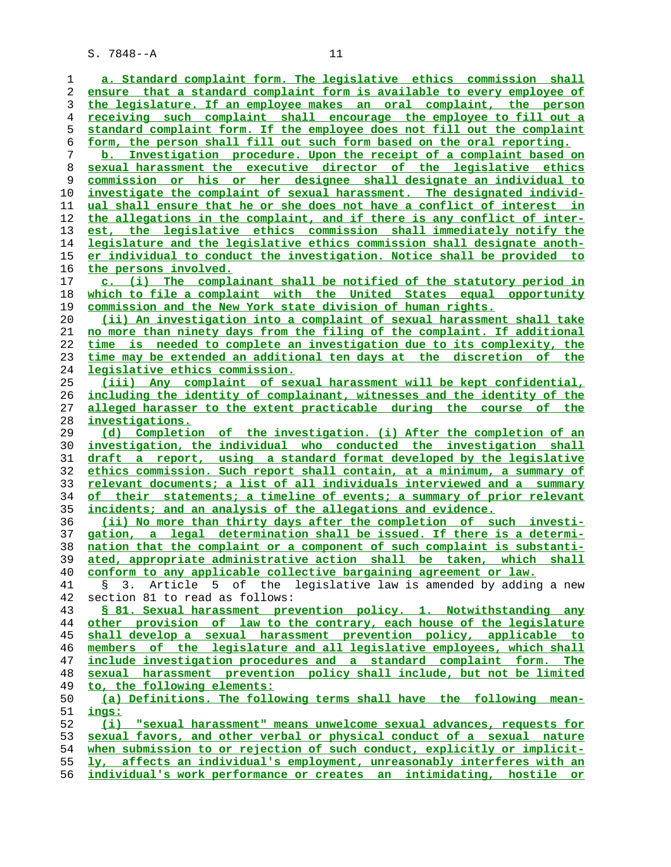**a. Standard complaint form. The legislative ethics commission shall ensure that a standard complaint form is available to every employee of the legislature. If an employee makes an oral complaint, the person receiving such complaint shall encourage the employee to fill out a standard complaint form. If the employee does not fill out the complaint form, the person shall fill out such form based on the oral reporting. b. Investigation procedure. Upon the receipt of a complaint based on sexual harassment the executive director of the legislative ethics commission or his or her designee shall designate an individual to investigate the complaint of sexual harassment. The designated individ- ual shall ensure that he or she does not have a conflict of interest in the allegations in the complaint, and if there is any conflict of inter- est, the legislative ethics commission shall immediately notify the legislature and the legislative ethics commission shall designate anoth- er individual to conduct the investigation. Notice shall be provided to the persons involved. c. (i) The complainant shall be notified of the statutory period in which to file a complaint with the United States equal opportunity commission and the New York state division of human rights. (ii) An investigation into a complaint of sexual harassment shall take no more than ninety days from the filing of the complaint. If additional time is needed to complete an investigation due to its complexity, the time may be extended an additional ten days at the discretion of the legislative ethics commission. (iii) Any complaint of sexual harassment will be kept confidential, including the identity of complainant, witnesses and the identity of the alleged harasser to the extent practicable during the course of the investigations. (d) Completion of the investigation. (i) After the completion of an investigation, the individual who conducted the investigation shall draft a report, using a standard format developed by the legislative ethics commission. Such report shall contain, at a minimum, a summary of relevant documents; a list of all individuals interviewed and a summary of their statements; a timeline of events; a summary of prior relevant incidents; and an analysis of the allegations and evidence. (ii) No more than thirty days after the completion of such investi- gation, a legal determination shall be issued. If there is a determi- nation that the complaint or a component of such complaint is substanti- ated, appropriate administrative action shall be taken, which shall conform to any applicable collective bargaining agreement or law.** 41 § 3. Article 5 of the legislative law is amended by adding a new 42 section 81 to read as follows: **§ 81. Sexual harassment prevention policy. 1. Notwithstanding any other provision of law to the contrary, each house of the legislature shall develop a sexual harassment prevention policy, applicable to members of the legislature and all legislative employees, which shall include investigation procedures and a standard complaint form. The sexual harassment prevention policy shall include, but not be limited to, the following elements: (a) Definitions. The following terms shall have the following mean- ings: (i) "sexual harassment" means unwelcome sexual advances, requests for sexual favors, and other verbal or physical conduct of a sexual nature when submission to or rejection of such conduct, explicitly or implicit- ly, affects an individual's employment, unreasonably interferes with an individual's work performance or creates an intimidating, hostile or**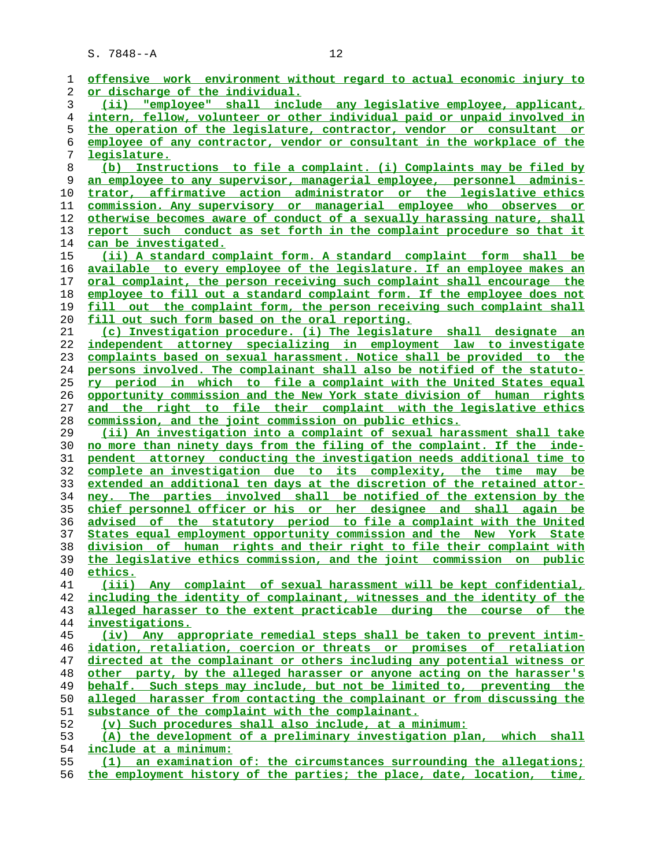| 1  | offensive work environment without regard to actual economic injury to          |
|----|---------------------------------------------------------------------------------|
| 2  | or discharge of the individual.                                                 |
| 3  | (ii) "employee" shall include any legislative employee, applicant,              |
| 4  | <u>intern, fellow, volunteer or other individual paid or unpaid involved in</u> |
| 5  | the operation of the legislature, contractor, vendor or consultant or           |
| 6  | employee of any contractor, vendor or consultant in the workplace of the        |
| 7  | legislature.                                                                    |
| 8  | Instructions to file a complaint. (i) Complaints may be filed by<br>(b)         |
| 9  | an employee to any supervisor, managerial employee, personnel adminis-          |
| 10 | trator, affirmative action administrator or the legislative ethics              |
| 11 | commission. Any supervisory or managerial employee who observes or              |
| 12 | otherwise becomes aware of conduct of a sexually harassing nature, shall        |
| 13 | report such conduct as set forth in the complaint procedure so that it          |
| 14 | can be investigated.                                                            |
| 15 | (ii) A standard complaint form. A standard complaint form shall be              |
| 16 | <u>available to every employee of the legislature. If an employee makes an</u>  |
| 17 | oral complaint, the person receiving such complaint shall encourage the         |
| 18 | employee to fill out a standard complaint form. If the employee does not        |
| 19 | out the complaint form, the person receiving such complaint shall<br>fill       |
| 20 | fill out such form based on the oral reporting.                                 |
| 21 | (c) Investigation procedure. (i) The legislature shall designate an             |
| 22 | independent attorney specializing in employment law to investigate              |
| 23 | complaints based on sexual harassment. Notice shall be provided to the          |
|    |                                                                                 |
| 24 | persons involved. The complainant shall also be notified of the statuto-        |
| 25 | <u>ry period in which to file a complaint with the United States equal</u>      |
| 26 | opportunity commission and the New York state division of human rights          |
| 27 | the right to file their complaint with the legislative ethics<br>and            |
|    |                                                                                 |
| 28 | commission, and the joint commission on public ethics.                          |
| 29 | (ii) An investigation into a complaint of sexual harassment shall take          |
| 30 | no more than ninety days from the filing of the complaint. If the inde-         |
| 31 | pendent attorney conducting the investigation needs additional time to          |
| 32 | complete an investigation due to its complexity, the time may be                |
| 33 | extended an additional ten days at the discretion of the retained attor-        |
| 34 | ney. The parties involved shall be notified of the extension by the             |
| 35 | <u>chief personnel officer or his or her designee and shall again be</u>        |
| 36 | advised of the statutory period to file a complaint with the United             |
| 37 | States equal employment opportunity commission and the New York State           |
| 38 | division of human rights and their right to file their complaint with           |
| 39 | the legislative ethics commission, and the joint commission on public           |
| 40 | ethics.                                                                         |
| 41 | (iii) Any complaint of sexual harassment will be kept confidential,             |
| 42 | including the identity of complainant, witnesses and the identity of the        |
| 43 | alleged harasser to the extent practicable during the course of the             |
| 44 | investigations.                                                                 |
| 45 | (iv) Any appropriate remedial steps shall be taken to prevent intim-            |
| 46 | idation, retaliation, coercion or threats or promises of retaliation            |
| 47 | directed at the complainant or others including any potential witness or        |
| 48 | other party, by the alleged harasser or anyone acting on the harasser's         |
| 49 | behalf. Such steps may include, but not be limited to, preventing the           |
| 50 | alleged harasser from contacting the complainant or from discussing the         |
| 51 | substance of the complaint with the complainant.                                |
| 52 | (v) Such procedures shall also include, at a minimum:                           |
| 53 | (A) the development of a preliminary investigation plan, which<br><u>shall</u>  |
| 54 | include at a minimum:                                                           |
| 55 | (1) an examination of: the circumstances surrounding the allegations;           |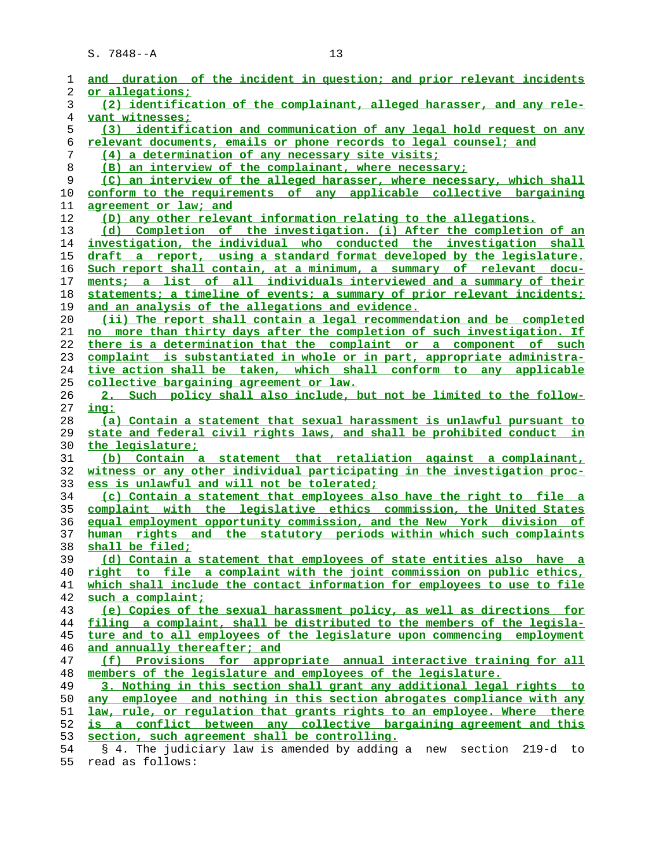| 1  | and duration of the incident in question; and prior relevant incidents   |
|----|--------------------------------------------------------------------------|
| 2  | or allegations;                                                          |
| 3  | (2) identification of the complainant, alleged harasser, and any rele-   |
| 4  | vant witnesses;                                                          |
| 5  | (3) identification and communication of any legal hold request on any    |
| 6  | relevant documents, emails or phone records to legal counsel; and        |
| 7  | (4) a determination of any necessary site visits;                        |
| 8  | (B) an interview of the complainant, where necessary;                    |
| 9  | (C) an interview of the alleged harasser, where necessary, which shall   |
| 10 | conform to the requirements of any applicable collective bargaining      |
| 11 | agreement or law; and                                                    |
| 12 | (D) any other relevant information relating to the allegations.          |
| 13 | (d) Completion of the investigation. (i) After the completion of an      |
| 14 | investigation, the individual who conducted the investigation shall      |
| 15 | draft a report, using a standard format developed by the legislature.    |
| 16 | Such report shall contain, at a minimum, a summary of relevant docu-     |
| 17 | ments; a list of all individuals interviewed and a summary of their      |
| 18 | statements; a timeline of events; a summary of prior relevant incidents; |
| 19 | and an analysis of the allegations and evidence.                         |
| 20 | (ii) The report shall contain a legal recommendation and be completed    |
| 21 | no more than thirty days after the completion of such investigation. If  |
| 22 | there is a determination that the complaint or a component of such       |
| 23 | complaint is substantiated in whole or in part, appropriate administra-  |
| 24 | tive action shall be taken, which shall conform to any applicable        |
| 25 | <u>collective bargaining agreement or law.</u>                           |
| 26 | 2. Such policy shall also include, but not be limited to the follow-     |
| 27 | ing:                                                                     |
| 28 | (a) Contain a statement that sexual harassment is unlawful pursuant to   |
| 29 | state and federal civil rights laws, and shall be prohibited conduct in  |
| 30 | the legislature;                                                         |
| 31 | (b) Contain a statement that retaliation against a complainant,          |
| 32 | witness or any other individual participating in the investigation proc- |
| 33 | ess is unlawful and will not be tolerated;                               |
| 34 | (c) Contain a statement that employees also have the right to file a     |
| 35 | complaint with the legislative ethics commission, the United States      |
| 36 | equal employment opportunity commission, and the New York division of    |
| 37 | human rights and the statutory periods within which such complaints      |
| 38 | shall be filed;                                                          |
| 39 | (d) Contain a statement that employees of state entities also have a     |
| 40 | right to file a complaint with the joint commission on public ethics,    |
| 41 | which shall include the contact information for employees to use to file |
| 42 | such a complaint;                                                        |
| 43 | (e) Copies of the sexual harassment policy, as well as directions for    |
| 44 | filing a complaint, shall be distributed to the members of the legisla-  |
| 45 | ture and to all employees of the legislature upon commencing employment  |
| 46 | and annually thereafter; and                                             |
| 47 | (f) Provisions for appropriate annual interactive training for all       |
| 48 | members of the legislature and employees of the legislature.             |
| 49 | 3. Nothing in this section shall grant any additional legal rights to    |
| 50 | any employee and nothing in this section abrogates compliance with any   |
| 51 | law, rule, or regulation that grants rights to an employee. Where there  |
| 52 | is a conflict between any collective bargaining agreement and this       |
| 53 | section, such agreement shall be controlling.                            |
| 54 | § 4. The judiciary law is amended by adding a new<br>section 219-d to    |
|    |                                                                          |

55 read as follows: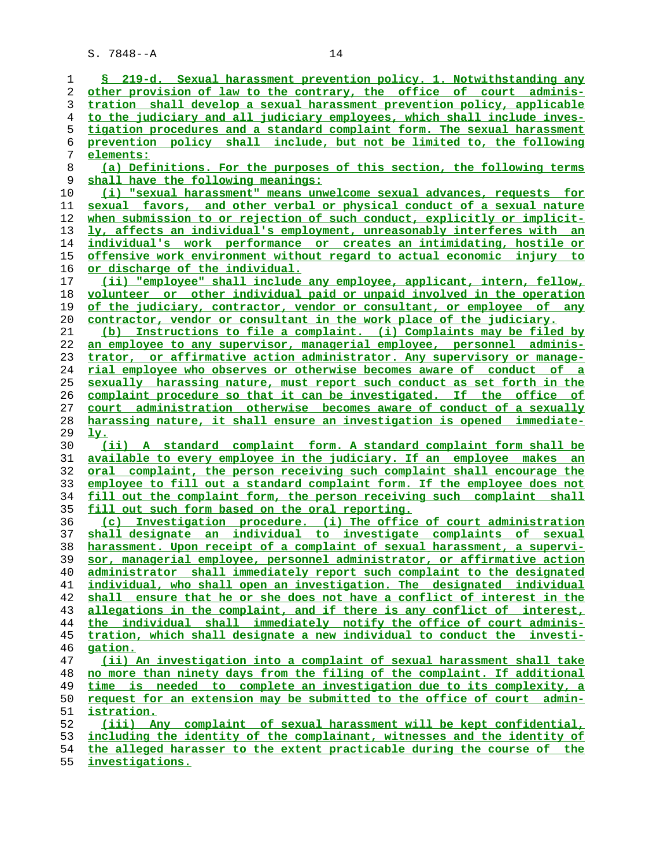| 1        | § 219-d. Sexual harassment prevention policy. 1. Notwithstanding any                                                                                |
|----------|-----------------------------------------------------------------------------------------------------------------------------------------------------|
| 2        | other provision of law to the contrary, the office of court adminis-                                                                                |
| 3        | tration shall develop a sexual harassment prevention policy, applicable                                                                             |
| 4        | to the judiciary and all judiciary employees, which shall include inves-                                                                            |
| 5        | tigation procedures and a standard complaint form. The sexual harassment                                                                            |
| 6        | prevention policy shall include, but not be limited to, the following                                                                               |
| 7        | elements:                                                                                                                                           |
| 8        | (a) Definitions. For the purposes of this section, the following terms                                                                              |
| 9        | shall have the following meanings:                                                                                                                  |
| 10       | (i) "sexual harassment" means unwelcome sexual advances, requests for                                                                               |
| 11       | sexual favors, and other verbal or physical conduct of a sexual nature                                                                              |
| 12       | when submission to or rejection of such conduct, explicitly or implicit-                                                                            |
|          |                                                                                                                                                     |
| 13       | ly, affects an individual's employment, unreasonably interferes with an                                                                             |
| 14       | individual's work performance or creates an intimidating, hostile or                                                                                |
| 15       | offensive work environment without regard to actual economic injury to                                                                              |
| 16       | <u>or discharge of the individual.</u>                                                                                                              |
| 17       | (ii) "employee" shall include any employee, applicant, intern, fellow,                                                                              |
| 18       | volunteer or other individual paid or unpaid involved in the operation                                                                              |
| 19       | of the judiciary, contractor, vendor or consultant, or employee of any                                                                              |
| 20       | contractor, vendor or consultant in the work place of the judiciary.                                                                                |
| 21       | (b) Instructions to file a complaint. (i) Complaints may be filed by                                                                                |
| 22       | an employee to any supervisor, managerial employee, personnel adminis-                                                                              |
| 23       | trator, or affirmative action administrator. Any supervisory or manage-                                                                             |
| 24       | rial employee who observes or otherwise becomes aware of conduct of a                                                                               |
| 25       | sexually harassing nature, must report such conduct as set forth in the                                                                             |
| 26       | complaint procedure so that it can be investigated. If the office of                                                                                |
| 27       | court administration otherwise becomes aware of conduct of a sexually                                                                               |
| 28       | harassing nature, it shall ensure an investigation is opened immediate-                                                                             |
| 29       | <u>ly.</u>                                                                                                                                          |
|          |                                                                                                                                                     |
|          |                                                                                                                                                     |
| 30       | (ii) A standard complaint form. A standard complaint form shall be                                                                                  |
| 31       | available to every employee in the judiciary. If an employee makes an                                                                               |
| 32       | oral complaint, the person receiving such complaint shall encourage the                                                                             |
| 33       | employee to fill out a standard complaint form. If the employee does not                                                                            |
| 34       | fill out the complaint form, the person receiving such complaint shall                                                                              |
| 35       | fill out such form based on the oral reporting.                                                                                                     |
| 36       | (c) Investigation procedure. (i) The office of court administration                                                                                 |
| 37       | shall designate an individual to investigate complaints of sexual                                                                                   |
| 38       | harassment. Upon receipt of a complaint of sexual harassment, a supervi-                                                                            |
| 39       | sor, managerial employee, personnel administrator, or affirmative action                                                                            |
| 40       | administrator shall immediately report such complaint to the designated                                                                             |
| 41       | individual, who shall open an investigation. The designated individual                                                                              |
| 42       | shall ensure that he or she does not have a conflict of interest in the                                                                             |
| 43       | allegations in the complaint, and if there is any conflict of interest,                                                                             |
| 44       |                                                                                                                                                     |
|          | the individual shall immediately notify the office of court adminis-                                                                                |
| 45       | tration, which shall designate a new individual to conduct the investi-<br>gation.                                                                  |
| 46       |                                                                                                                                                     |
| 47       | (ii) An investigation into a complaint of sexual harassment shall take                                                                              |
| 48       | no more than ninety days from the filing of the complaint. If additional                                                                            |
| 49       | time is needed to complete an investigation due to its complexity, a                                                                                |
| 50       | request for an extension may be submitted to the office of court admin-                                                                             |
| 51       | istration.                                                                                                                                          |
| 52       | (iii) Any complaint of sexual harassment will be kept confidential,                                                                                 |
| 53<br>54 | including the identity of the complainant, witnesses and the identity of<br>the alleged harasser to the extent practicable during the course of the |

**investigations.**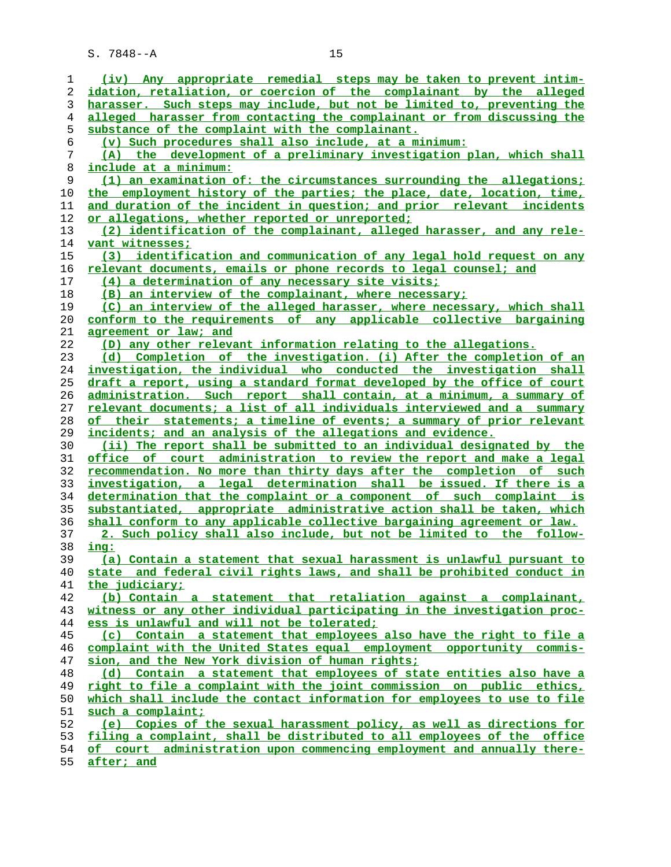| 1              | (iv) Any appropriate remedial steps may be taken to prevent intim-       |
|----------------|--------------------------------------------------------------------------|
| 2              | idation, retaliation, or coercion of the complainant by the alleged      |
| 3              | harasser. Such steps may include, but not be limited to, preventing the  |
| $\overline{4}$ | alleged harasser from contacting the complainant or from discussing the  |
| 5              | substance of the complaint with the complainant.                         |
|                |                                                                          |
| 6              | (v) Such procedures shall also include, at a minimum:                    |
| 7              | (A) the development of a preliminary investigation plan, which shall     |
| 8              | <u>include at a minimum:</u>                                             |
| 9              | (1) an examination of: the circumstances surrounding the allegations;    |
| 10             | the employment history of the parties; the place, date, location, time,  |
| 11             | and duration of the incident in question; and prior relevant incidents   |
|                |                                                                          |
| 12             | or allegations, whether reported or unreported;                          |
| 13             | (2) identification of the complainant, alleged harasser, and any rele-   |
| 14             | vant witnesses;                                                          |
| 15             | (3) identification and communication of any legal hold request on any    |
| 16             | relevant documents, emails or phone records to legal counsel; and        |
| 17             | (4) a determination of any necessary site visits;                        |
|                |                                                                          |
| 18             | (B) an interview of the complainant, where necessary;                    |
| 19             | (C) an interview of the alleged harasser, where necessary, which shall   |
| 20             | conform to the requirements of any applicable collective bargaining      |
| 21             | agreement or law: and                                                    |
| 22             | (D) any other relevant information relating to the allegations.          |
| 23             | (d) Completion of the investigation. (i) After the completion of an      |
| 24             | investigation, the individual who conducted the investigation shall      |
|                |                                                                          |
| 25             | draft a report, using a standard format developed by the office of court |
| 26             | administration. Such report shall contain, at a minimum, a summary of    |
| 27             | relevant documents; a list of all individuals interviewed and a summary  |
| 28             | of their statements; a timeline of events; a summary of prior relevant   |
| 29             | incidents; and an analysis of the allegations and evidence.              |
| 30             | (ii) The report shall be submitted to an individual designated by the    |
| 31             | office of court administration to review the report and make a legal     |
| 32             | recommendation. No more than thirty days after the completion of such    |
|                |                                                                          |
| 33             | investigation, a legal determination shall be issued. If there is a      |
| 34             | determination that the complaint or a component of such complaint is     |
| 35             | substantiated, appropriate administrative action shall be taken, which   |
| 36             | shall conform to any applicable collective bargaining agreement or law.  |
| 37             | 2. Such policy shall also include, but not be limited to the follow-     |
| 38             | ing:                                                                     |
| 39             | (a) Contain a statement that sexual harassment is unlawful pursuant to   |
| 40             | state and federal civil rights laws, and shall be prohibited conduct in  |
|                |                                                                          |
| 41             | the judiciary;                                                           |
| 42             | (b) Contain a statement that retaliation against a complainant,          |
| 43             | witness or any other individual participating in the investigation proc- |
| 44             | ess is unlawful and will not be tolerated;                               |
| 45             | (c) Contain a statement that employees also have the right to file a     |
| 46             | complaint with the United States equal employment opportunity commis-    |
| 47             | sion, and the New York division of human rights;                         |
| 48             | (d) Contain a statement that employees of state entities also have a     |
|                |                                                                          |
| 49             | right to file a complaint with the joint commission on public ethics,    |
| 50             | which shall include the contact information for employees to use to file |
| 51             | such a complaint;                                                        |
| 52             | (e) Copies of the sexual harassment policy, as well as directions for    |
| 53             | filing a complaint, shall be distributed to all employees of the office  |
| 54             | of court administration upon commencing employment and annually there-   |
| 55             | after; and                                                               |
|                |                                                                          |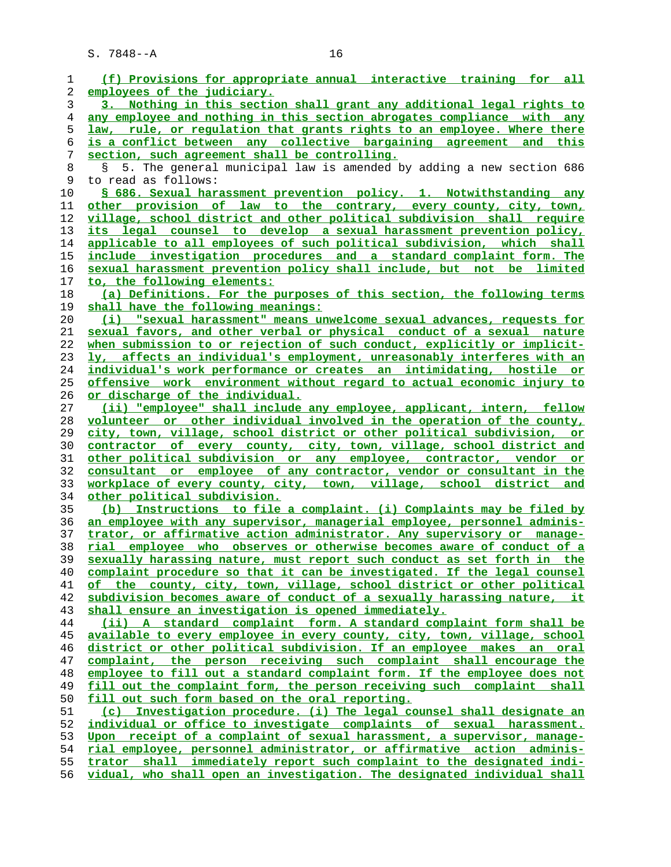| 1        | (f) Provisions for appropriate annual interactive training for all                                                                               |
|----------|--------------------------------------------------------------------------------------------------------------------------------------------------|
| 2        | employees of the judiciary.                                                                                                                      |
| 3        | 3. Nothing in this section shall grant any additional legal rights to                                                                            |
| 4        | any employee and nothing in this section abrogates compliance with any                                                                           |
| 5        | law, rule, or requlation that grants rights to an employee. Where there                                                                          |
| 6        | is a conflict between any collective bargaining agreement and this                                                                               |
| 7        | section, such agreement shall be controlling.                                                                                                    |
| 8        | 5. The general municipal law is amended by adding a new section 686<br>Š.                                                                        |
| 9        | to read as follows:                                                                                                                              |
| 10       | § 686. Sexual harassment prevention policy. 1. Notwithstanding any                                                                               |
| 11       | other provision of law to the contrary, every county, city, town,                                                                                |
| 12       | village, school district and other political subdivision shall require                                                                           |
| 13       | its legal counsel to develop a sexual harassment prevention policy,                                                                              |
| 14       | applicable to all employees of such political subdivision, which shall                                                                           |
| 15       | include investigation procedures and a standard complaint form. The                                                                              |
| 16       | sexual harassment prevention policy shall include, but not be limited                                                                            |
| 17       | to, the following elements:                                                                                                                      |
| 18       | (a) Definitions. For the purposes of this section, the following terms                                                                           |
| 19       | shall have the following meanings:                                                                                                               |
| 20       | (i) "sexual harassment" means unwelcome sexual advances, requests for                                                                            |
| 21       | sexual favors, and other verbal or physical conduct of a sexual nature                                                                           |
| 22       | when submission to or rejection of such conduct, explicitly or implicit-                                                                         |
| 23       | ly, affects an individual's employment, unreasonably interferes with an                                                                          |
| 24       | individual's work performance or creates an intimidating, hostile or                                                                             |
| 25       | <u>offensive work environment without regard to actual economic injury to</u>                                                                    |
| 26       | or discharge of the individual.                                                                                                                  |
| 27       | (ii) "employee" shall include any employee, applicant, intern, fellow                                                                            |
| 28       | volunteer or other individual involved in the operation of the county,                                                                           |
| 29       | city, town, village, school district or other political subdivision, or                                                                          |
| 30       | contractor of every county, city, town, village, school district and                                                                             |
| 31       | other political subdivision or any employee, contractor, vendor or                                                                               |
| 32       | consultant or employee of any contractor, vendor or consultant in the                                                                            |
| 33       | workplace of every county, city, town, village, school district and                                                                              |
| 34       | <u>other political subdivision.</u>                                                                                                              |
| 35       | (b) Instructions to file a complaint. (i) Complaints may be filed by                                                                             |
| 36       | an employee with any supervisor, managerial employee, personnel adminis-                                                                         |
| 37<br>38 | trator, or affirmative action administrator. Any supervisory or manage-<br>rial employee who observes or otherwise becomes aware of conduct of a |
| 39       | sexually harassing nature, must report such conduct as set forth in the                                                                          |
| 40       | complaint procedure so that it can be investigated. If the legal counsel                                                                         |
| 41       | of the county, city, town, village, school district or other political                                                                           |
| 42       | subdivision becomes aware of conduct of a sexually harassing nature, it                                                                          |
| 43       | shall ensure an investigation is opened immediately.                                                                                             |
| 44       | (ii) A standard complaint form. A standard complaint form shall be                                                                               |
| 45       | available to every employee in every county, city, town, village, school                                                                         |
| 46       | district or other political subdivision. If an employee makes an oral                                                                            |
| 47       | complaint, the person receiving such complaint shall encourage the                                                                               |
| 48       | employee to fill out a standard complaint form. If the employee does not                                                                         |
| 49       | fill out the complaint form, the person receiving such complaint shall                                                                           |
| 50       | fill out such form based on the oral reporting.                                                                                                  |
| 51       | (c) Investigation procedure. (i) The legal counsel shall designate an                                                                            |
| 52       | individual or office to investigate complaints of sexual harassment.                                                                             |
| 53       | Upon receipt of a complaint of sexual harassment, a supervisor, manage-                                                                          |
| 54       | rial employee, personnel administrator, or affirmative action adminis-                                                                           |
| 55       | trator shall immediately report such complaint to the designated indi-                                                                           |
| 56       | vidual, who shall open an investigation. The designated individual shall                                                                         |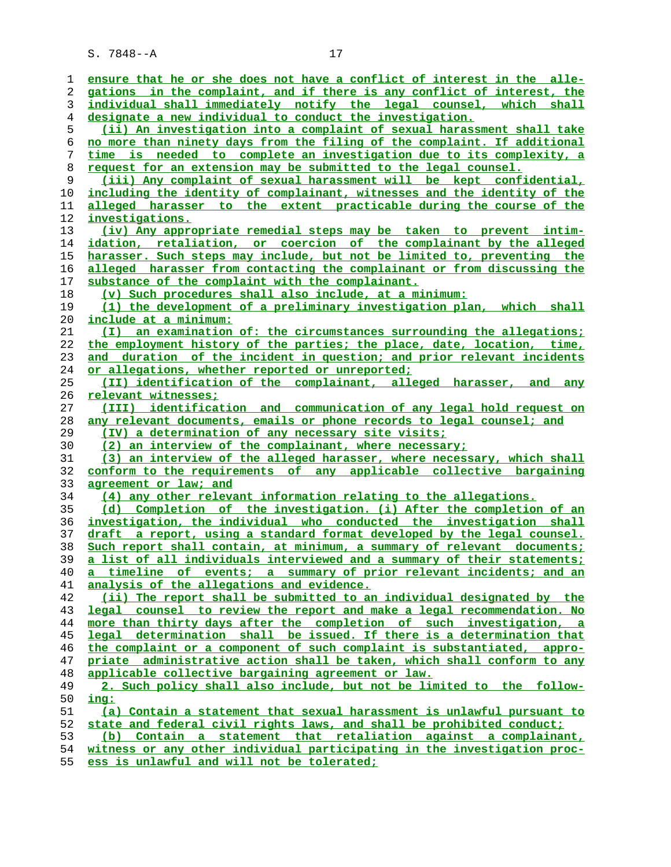| 1        | ensure that he or she does not have a conflict of interest in the alle-                                                                     |
|----------|---------------------------------------------------------------------------------------------------------------------------------------------|
| 2        | gations in the complaint, and if there is any conflict of interest, the                                                                     |
| 3        | individual shall immediately notify the legal counsel, which shall                                                                          |
| 4        | designate a new individual to conduct the investigation.                                                                                    |
| 5        | (ii) An investigation into a complaint of sexual harassment shall take                                                                      |
| 6        | no more than ninety days from the filing of the complaint. If additional                                                                    |
| 7        | time is needed to complete an investigation due to its complexity, a                                                                        |
| 8        | request for an extension may be submitted to the legal counsel.                                                                             |
| 9        | (iii) Any complaint of sexual harassment will be kept confidential,                                                                         |
| 10       | including the identity of complainant, witnesses and the identity of the                                                                    |
| 11       | alleged harasser to the extent practicable during the course of the                                                                         |
| 12       | investigations.                                                                                                                             |
| 13       | (iv) Any appropriate remedial steps may be taken to prevent intim-                                                                          |
| 14       | idation, retaliation, or coercion of the complainant by the alleged                                                                         |
| 15       | harasser. Such steps may include, but not be limited to, preventing the                                                                     |
| 16       | alleged harasser from contacting the complainant or from discussing the                                                                     |
| 17       | substance of the complaint with the complainant.                                                                                            |
| 18       | (v) Such procedures shall also include, at a minimum:                                                                                       |
| 19       | (1) the development of a preliminary investigation plan, which shall                                                                        |
| 20       | <u>include at a minimum:</u>                                                                                                                |
| 21       | (I) an examination of: the circumstances surrounding the allegations;                                                                       |
| 22       | the employment history of the parties; the place, date, location, time,                                                                     |
| 23       | and duration of the incident in question; and prior relevant incidents                                                                      |
| 24       | or allegations, whether reported or unreported;                                                                                             |
| 25       | (II) identification of the complainant, alleged harasser,<br>and any                                                                        |
| 26       | relevant witnesses;                                                                                                                         |
| 27       | (III) identification and communication of any legal hold request on                                                                         |
| 28       | any relevant documents, emails or phone records to legal counsel; and                                                                       |
|          |                                                                                                                                             |
|          |                                                                                                                                             |
| 29       | (IV) a determination of any necessary site visits;                                                                                          |
| 30       | (2) an interview of the complainant, where necessary;                                                                                       |
| 31       | (3) an interview of the alleged harasser, where necessary, which shall                                                                      |
| 32       | conform to the requirements of any applicable collective bargaining                                                                         |
| 33       | agreement or law; and                                                                                                                       |
| 34       | (4) any other relevant information relating to the allegations.                                                                             |
| 35       | (d) Completion of the investigation. (i) After the completion of an                                                                         |
| 36       | investigation, the individual who conducted the investigation shall                                                                         |
| 37       | draft a report, using a standard format developed by the legal counsel.                                                                     |
| 38       | Such report shall contain, at minimum, a summary of relevant documents;                                                                     |
| 39       | a list of all individuals interviewed and a summary of their statements;                                                                    |
| 40       | a timeline of events; a summary of prior relevant incidents; and an                                                                         |
| 41       | analysis of the allegations and evidence.                                                                                                   |
| 42       | (ii) The report shall be submitted to an individual designated by the                                                                       |
| 43       | legal counsel to review the report and make a legal recommendation. No                                                                      |
| 44       | more than thirty days after the completion of such investigation, a                                                                         |
| 45       | legal determination shall be issued. If there is a determination that                                                                       |
| 46       | the complaint or a component of such complaint is substantiated, appro-                                                                     |
| 47       | priate administrative action shall be taken, which shall conform to any                                                                     |
| 48       | applicable collective bargaining agreement or law.                                                                                          |
| 49       | 2. Such policy shall also include, but not be limited to the follow-                                                                        |
| 50       | ing:                                                                                                                                        |
| 51       | (a) Contain a statement that sexual harassment is unlawful pursuant to                                                                      |
| 52       | state and federal civil rights laws, and shall be prohibited conduct;                                                                       |
| 53<br>54 | (b) Contain a statement that retaliation against a complainant,<br>witness or any other individual participating in the investigation proc- |

**ess is unlawful and will not be tolerated;**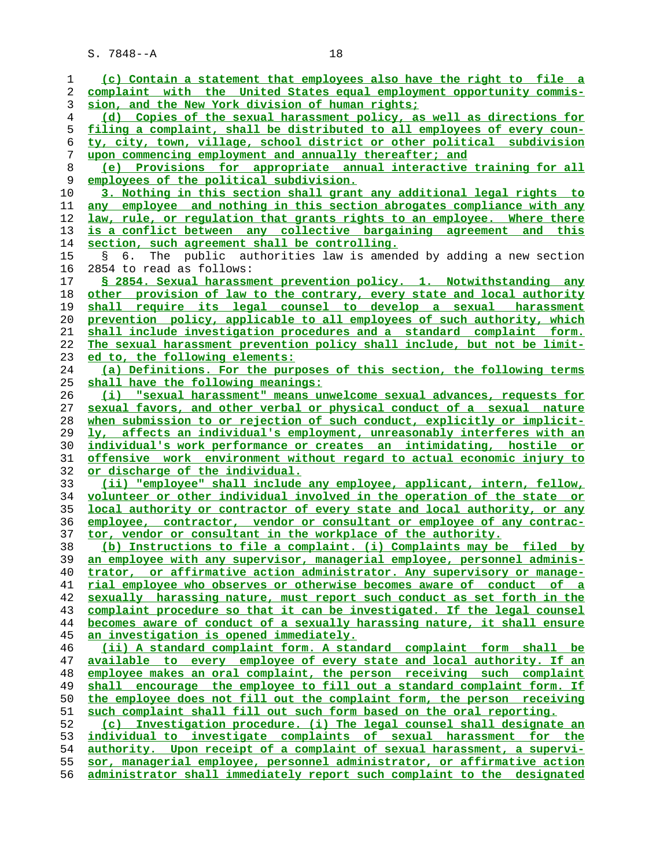**(c) Contain a statement that employees also have the right to file a complaint with the United States equal employment opportunity commis- sion, and the New York division of human rights; (d) Copies of the sexual harassment policy, as well as directions for filing a complaint, shall be distributed to all employees of every coun- ty, city, town, village, school district or other political subdivision upon commencing employment and annually thereafter; and (e) Provisions for appropriate annual interactive training for all employees of the political subdivision. 3. Nothing in this section shall grant any additional legal rights to any employee and nothing in this section abrogates compliance with any law, rule, or regulation that grants rights to an employee. Where there is a conflict between any collective bargaining agreement and this section, such agreement shall be controlling.** 15 § 6. The public authorities law is amended by adding a new section 16 2854 to read as follows: **§ 2854. Sexual harassment prevention policy. 1. Notwithstanding any other provision of law to the contrary, every state and local authority shall require its legal counsel to develop a sexual harassment prevention policy, applicable to all employees of such authority, which shall include investigation procedures and a standard complaint form. The sexual harassment prevention policy shall include, but not be limit- ed to, the following elements: (a) Definitions. For the purposes of this section, the following terms shall have the following meanings: (i) "sexual harassment" means unwelcome sexual advances, requests for sexual favors, and other verbal or physical conduct of a sexual nature when submission to or rejection of such conduct, explicitly or implicit- ly, affects an individual's employment, unreasonably interferes with an individual's work performance or creates an intimidating, hostile or offensive work environment without regard to actual economic injury to or discharge of the individual. (ii) "employee" shall include any employee, applicant, intern, fellow, volunteer or other individual involved in the operation of the state or local authority or contractor of every state and local authority, or any employee, contractor, vendor or consultant or employee of any contrac- tor, vendor or consultant in the workplace of the authority. (b) Instructions to file a complaint. (i) Complaints may be filed by an employee with any supervisor, managerial employee, personnel adminis- trator, or affirmative action administrator. Any supervisory or manage- rial employee who observes or otherwise becomes aware of conduct of a sexually harassing nature, must report such conduct as set forth in the complaint procedure so that it can be investigated. If the legal counsel becomes aware of conduct of a sexually harassing nature, it shall ensure an investigation is opened immediately. (ii) A standard complaint form. A standard complaint form shall be available to every employee of every state and local authority. If an employee makes an oral complaint, the person receiving such complaint shall encourage the employee to fill out a standard complaint form. If the employee does not fill out the complaint form, the person receiving such complaint shall fill out such form based on the oral reporting. (c) Investigation procedure. (i) The legal counsel shall designate an individual to investigate complaints of sexual harassment for the authority. Upon receipt of a complaint of sexual harassment, a supervi- sor, managerial employee, personnel administrator, or affirmative action administrator shall immediately report such complaint to the designated**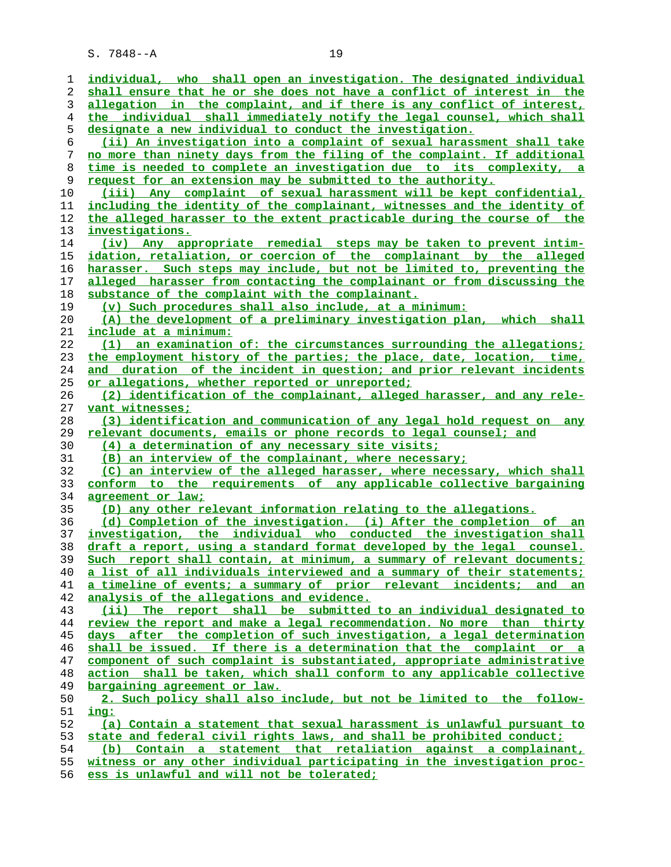| 1  | individual, who shall open an investigation. The designated individual   |
|----|--------------------------------------------------------------------------|
| 2  | shall ensure that he or she does not have a conflict of interest in the  |
| 3  | allegation in the complaint, and if there is any conflict of interest,   |
| 4  | the individual shall immediately notify the legal counsel, which shall   |
| 5  | designate a new individual to conduct the investigation.                 |
| 6  | (ii) An investigation into a complaint of sexual harassment shall take   |
| 7  | no more than ninety days from the filing of the complaint. If additional |
| 8  | time is needed to complete an investigation due to its complexity, a     |
| 9  | request for an extension may be submitted to the authority.              |
| 10 | (iii) Any complaint of sexual harassment will be kept confidential,      |
| 11 | including the identity of the complainant, witnesses and the identity of |
| 12 | the alleged harasser to the extent practicable during the course of the  |
| 13 | investigations.                                                          |
| 14 | (iv) Any appropriate remedial steps may be taken to prevent intim-       |
| 15 | idation, retaliation, or coercion of the complainant by the alleged      |
| 16 | harasser. Such steps may include, but not be limited to, preventing the  |
| 17 | alleged harasser from contacting the complainant or from discussing the  |
| 18 | substance of the complaint with the complainant.                         |
| 19 | (v) Such procedures shall also include, at a minimum:                    |
| 20 | (A) the development of a preliminary investigation plan, which<br>shall  |
| 21 | <u>include at a minimum:</u>                                             |
| 22 | (1) an examination of: the circumstances surrounding the allegations;    |
| 23 | the employment history of the parties; the place, date, location, time,  |
| 24 | and duration of the incident in question; and prior relevant incidents   |
| 25 | or allegations, whether reported or unreported;                          |
| 26 | (2) identification of the complainant, alleged harasser, and any rele-   |
| 27 | vant witnesses;                                                          |
| 28 | (3) identification and communication of any legal hold request on<br>any |
| 29 | relevant documents, emails or phone records to legal counsel; and        |
| 30 | (4) a determination of any necessary site visits;                        |
| 31 | (B) an interview of the complainant, where necessary;                    |
| 32 | (C) an interview of the alleged harasser, where necessary, which shall   |
| 33 | conform to the requirements of any applicable collective bargaining      |
| 34 | agreement or law;                                                        |
| 35 | (D) any other relevant information relating to the allegations.          |
| 36 | (d) Completion of the investigation. (i) After the completion of an      |
| 37 | investigation, the individual who conducted the investigation shall      |
| 38 | draft a report, using a standard format developed by the legal counsel.  |
| 39 | Such report shall contain, at minimum, a summary of relevant documents;  |
| 40 | a list of all individuals interviewed and a summary of their statements; |
| 41 | a timeline of events; a summary of prior relevant incidents; and an      |
| 42 | analysis of the allegations and evidence.                                |
| 43 | (ii) The report shall be submitted to an individual designated to        |
| 44 | review the report and make a legal recommendation. No more than thirty   |
| 45 | days after the completion of such investigation, a legal determination   |
| 46 | shall be issued. If there is a determination that the complaint or a     |
| 47 | component of such complaint is substantiated, appropriate administrative |
| 48 | action shall be taken, which shall conform to any applicable collective  |
| 49 | bargaining agreement or law.                                             |
| 50 | 2. Such policy shall also include, but not be limited to the follow-     |
| 51 | ing:                                                                     |
| 52 | (a) Contain a statement that sexual harassment is unlawful pursuant to   |
| 53 | state and federal civil rights laws, and shall be prohibited conduct;    |
| 54 | (b) Contain a statement that retaliation against a complainant,          |
| 55 | witness or any other individual participating in the investigation proc- |
|    |                                                                          |

**ess is unlawful and will not be tolerated;**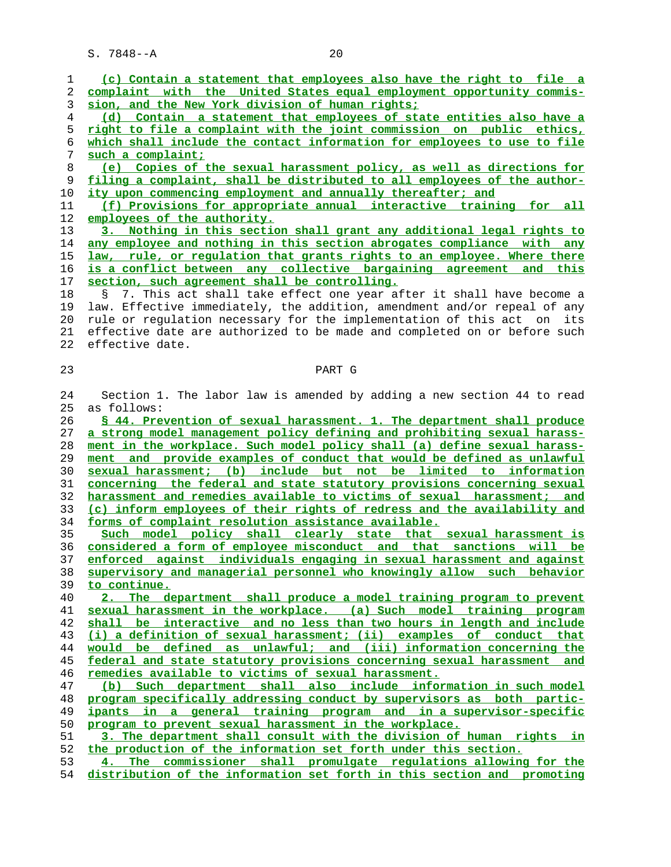| 1  | (c) Contain a statement that employees also have the right to file a                                                           |
|----|--------------------------------------------------------------------------------------------------------------------------------|
| 2  | complaint with the United States equal employment opportunity commis-                                                          |
| 3  | sion, and the New York division of human rights;                                                                               |
| 4  | (d) Contain a statement that employees of state entities also have a                                                           |
| 5  | right to file a complaint with the joint commission on public ethics,                                                          |
| 6  | which shall include the contact information for employees to use to file                                                       |
| 7  | such a complaint;                                                                                                              |
| 8  | (e) Copies of the sexual harassment policy, as well as directions for                                                          |
| 9  | filing a complaint, shall be distributed to all employees of the author-                                                       |
| 10 | ity upon commencing employment and annually thereafter; and                                                                    |
| 11 | (f) Provisions for appropriate annual interactive training for all                                                             |
| 12 | employees of the authority.                                                                                                    |
| 13 | 3. Nothing in this section shall grant any additional legal rights to                                                          |
| 14 | any employee and nothing in this section abrogates compliance with any                                                         |
| 15 | law, rule, or regulation that grants rights to an employee. Where there                                                        |
| 16 | is a conflict between any collective bargaining agreement and this                                                             |
| 17 | section, such agreement shall be controlling.                                                                                  |
| 18 | 7. This act shall take effect one year after it shall have become a<br>Ş.                                                      |
| 19 | law. Effective immediately, the addition, amendment and/or repeal of any                                                       |
| 20 | rule or regulation necessary for the implementation of this act on<br>its                                                      |
| 21 | effective date are authorized to be made and completed on or before such                                                       |
| 22 | effective date.                                                                                                                |
|    |                                                                                                                                |
| 23 | PART G                                                                                                                         |
|    |                                                                                                                                |
| 24 | Section 1. The labor law is amended by adding a new section 44 to read                                                         |
| 25 | as follows:                                                                                                                    |
| 26 | § 44. Prevention of sexual harassment. 1. The department shall produce                                                         |
| 27 | a strong model management policy defining and prohibiting sexual harass-                                                       |
| 28 | ment in the workplace. Such model policy shall (a) define sexual harass-                                                       |
| 29 | ment and provide examples of conduct that would be defined as unlawful                                                         |
| 30 | sexual harassment; (b) include but not be limited to information                                                               |
| 31 | concerning the federal and state statutory provisions concerning sexual                                                        |
| 32 | harassment and remedies available to victims of sexual harassment; and                                                         |
| 33 | (c) inform employees of their rights of redress and the availability and                                                       |
| 34 | forms of complaint resolution assistance available.                                                                            |
| 35 | Such model policy shall clearly state that sexual harassment is                                                                |
| 36 | considered a form of employee misconduct and that sanctions will be                                                            |
| 37 | enforced against individuals engaging in sexual harassment and against                                                         |
| 38 | supervisory and managerial personnel who knowingly allow such behavior                                                         |
| 39 | to continue.                                                                                                                   |
| 40 | 2. The department shall produce a model training program to prevent                                                            |
| 41 | sexual harassment in the workplace. (a) Such model training program                                                            |
| 42 | shall be interactive and no less than two hours in length and include                                                          |
| 43 | (i) a definition of sexual harassment; (ii) examples of conduct that                                                           |
| 44 | would be defined as unlawful; and (iii) information concerning the                                                             |
| 45 | federal and state statutory provisions concerning sexual harassment and                                                        |
| 46 | remedies available to victims of sexual harassment.                                                                            |
| 47 | (b) Such department shall also include information in such model                                                               |
| 48 | program specifically addressing conduct by supervisors as both partic-                                                         |
|    |                                                                                                                                |
| 49 | ipants in a general training program and in a supervisor-specific                                                              |
| 50 | program to prevent sexual harassment in the workplace.<br>3. The department shall consult with the division of human rights in |
| 51 |                                                                                                                                |
| 52 | the production of the information set forth under this section.                                                                |
| 53 | 4. The commissioner shall promulgate requlations allowing for the                                                              |

**distribution of the information set forth in this section and promoting**